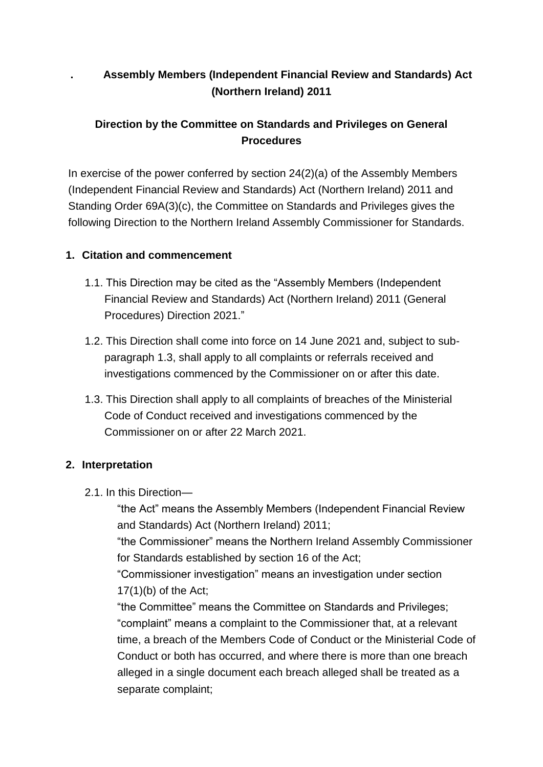# **. Assembly Members (Independent Financial Review and Standards) Act (Northern Ireland) 2011**

# **Direction by the Committee on Standards and Privileges on General Procedures**

In exercise of the power conferred by section 24(2)(a) of the Assembly Members (Independent Financial Review and Standards) Act (Northern Ireland) 2011 and Standing Order 69A(3)(c), the Committee on Standards and Privileges gives the following Direction to the Northern Ireland Assembly Commissioner for Standards.

### **1. Citation and commencement**

- 1.1. This Direction may be cited as the "Assembly Members (Independent Financial Review and Standards) Act (Northern Ireland) 2011 (General Procedures) Direction 2021."
- 1.2. This Direction shall come into force on 14 June 2021 and, subject to subparagraph 1.3, shall apply to all complaints or referrals received and investigations commenced by the Commissioner on or after this date.
- 1.3. This Direction shall apply to all complaints of breaches of the Ministerial Code of Conduct received and investigations commenced by the Commissioner on or after 22 March 2021.

#### **2. Interpretation**

2.1. In this Direction—

"the Act" means the Assembly Members (Independent Financial Review and Standards) Act (Northern Ireland) 2011;

"the Commissioner" means the Northern Ireland Assembly Commissioner for Standards established by section 16 of the Act;

"Commissioner investigation" means an investigation under section 17(1)(b) of the Act;

"the Committee" means the Committee on Standards and Privileges; "complaint" means a complaint to the Commissioner that, at a relevant time, a breach of the Members Code of Conduct or the Ministerial Code of Conduct or both has occurred, and where there is more than one breach alleged in a single document each breach alleged shall be treated as a separate complaint;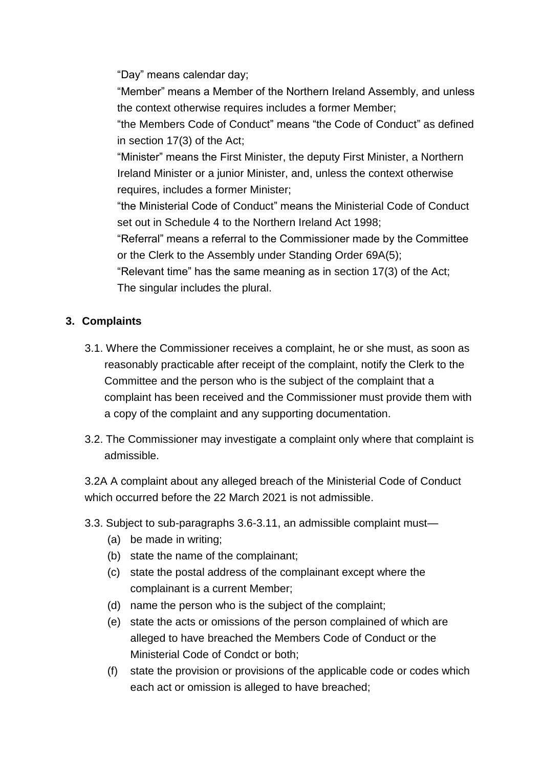"Day" means calendar day;

"Member" means a Member of the Northern Ireland Assembly, and unless the context otherwise requires includes a former Member;

"the Members Code of Conduct" means "the Code of Conduct" as defined in section 17(3) of the Act;

"Minister" means the First Minister, the deputy First Minister, a Northern Ireland Minister or a junior Minister, and, unless the context otherwise requires, includes a former Minister;

"the Ministerial Code of Conduct" means the Ministerial Code of Conduct set out in Schedule 4 to the Northern Ireland Act 1998;

"Referral" means a referral to the Commissioner made by the Committee or the Clerk to the Assembly under Standing Order 69A(5);

"Relevant time" has the same meaning as in section 17(3) of the Act; The singular includes the plural.

# **3. Complaints**

- 3.1. Where the Commissioner receives a complaint, he or she must, as soon as reasonably practicable after receipt of the complaint, notify the Clerk to the Committee and the person who is the subject of the complaint that a complaint has been received and the Commissioner must provide them with a copy of the complaint and any supporting documentation.
- 3.2. The Commissioner may investigate a complaint only where that complaint is admissible.

3.2A A complaint about any alleged breach of the Ministerial Code of Conduct which occurred before the 22 March 2021 is not admissible.

- 3.3. Subject to sub-paragraphs 3.6-3.11, an admissible complaint must—
	- (a) be made in writing;
	- (b) state the name of the complainant;
	- (c) state the postal address of the complainant except where the complainant is a current Member;
	- (d) name the person who is the subject of the complaint;
	- (e) state the acts or omissions of the person complained of which are alleged to have breached the Members Code of Conduct or the Ministerial Code of Condct or both;
	- (f) state the provision or provisions of the applicable code or codes which each act or omission is alleged to have breached;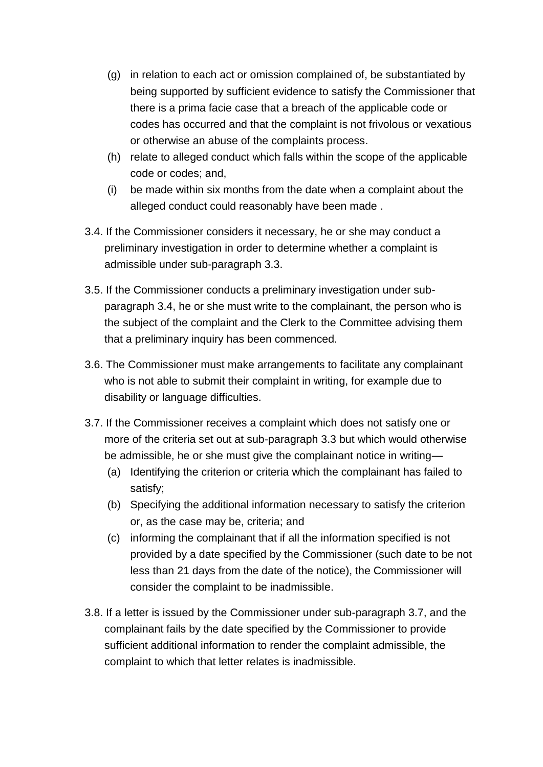- (g) in relation to each act or omission complained of, be substantiated by being supported by sufficient evidence to satisfy the Commissioner that there is a prima facie case that a breach of the applicable code or codes has occurred and that the complaint is not frivolous or vexatious or otherwise an abuse of the complaints process.
- (h) relate to alleged conduct which falls within the scope of the applicable code or codes; and,
- (i) be made within six months from the date when a complaint about the alleged conduct could reasonably have been made .
- 3.4. If the Commissioner considers it necessary, he or she may conduct a preliminary investigation in order to determine whether a complaint is admissible under sub-paragraph 3.3.
- 3.5. If the Commissioner conducts a preliminary investigation under subparagraph 3.4, he or she must write to the complainant, the person who is the subject of the complaint and the Clerk to the Committee advising them that a preliminary inquiry has been commenced.
- 3.6. The Commissioner must make arrangements to facilitate any complainant who is not able to submit their complaint in writing, for example due to disability or language difficulties.
- 3.7. If the Commissioner receives a complaint which does not satisfy one or more of the criteria set out at sub-paragraph 3.3 but which would otherwise be admissible, he or she must give the complainant notice in writing—
	- (a) Identifying the criterion or criteria which the complainant has failed to satisfy;
	- (b) Specifying the additional information necessary to satisfy the criterion or, as the case may be, criteria; and
	- (c) informing the complainant that if all the information specified is not provided by a date specified by the Commissioner (such date to be not less than 21 days from the date of the notice), the Commissioner will consider the complaint to be inadmissible.
- 3.8. If a letter is issued by the Commissioner under sub-paragraph 3.7, and the complainant fails by the date specified by the Commissioner to provide sufficient additional information to render the complaint admissible, the complaint to which that letter relates is inadmissible.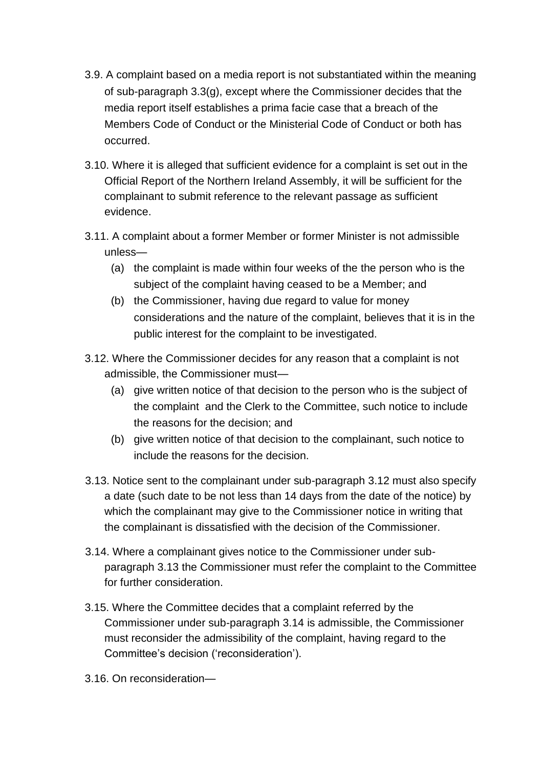- 3.9. A complaint based on a media report is not substantiated within the meaning of sub-paragraph 3.3(g), except where the Commissioner decides that the media report itself establishes a prima facie case that a breach of the Members Code of Conduct or the Ministerial Code of Conduct or both has occurred.
- 3.10. Where it is alleged that sufficient evidence for a complaint is set out in the Official Report of the Northern Ireland Assembly, it will be sufficient for the complainant to submit reference to the relevant passage as sufficient evidence.
- 3.11. A complaint about a former Member or former Minister is not admissible unless—
	- (a) the complaint is made within four weeks of the the person who is the subject of the complaint having ceased to be a Member; and
	- (b) the Commissioner, having due regard to value for money considerations and the nature of the complaint, believes that it is in the public interest for the complaint to be investigated.
- <span id="page-3-0"></span>3.12. Where the Commissioner decides for any reason that a complaint is not admissible, the Commissioner must—
	- (a) give written notice of that decision to the person who is the subject of the complaint and the Clerk to the Committee, such notice to include the reasons for the decision; and
	- (b) give written notice of that decision to the complainant, such notice to include the reasons for the decision.
- <span id="page-3-1"></span>3.13. Notice sent to the complainant under sub-paragraph [3.12](#page-3-0) must also specify a date (such date to be not less than 14 days from the date of the notice) by which the complainant may give to the Commissioner notice in writing that the complainant is dissatisfied with the decision of the Commissioner.
- <span id="page-3-2"></span>3.14. Where a complainant gives notice to the Commissioner under subparagraph [3.13](#page-3-1) the Commissioner must refer the complaint to the Committee for further consideration.
- 3.15. Where the Committee decides that a complaint referred by the Commissioner under sub-paragraph [3.14](#page-3-2) is admissible, the Commissioner must reconsider the admissibility of the complaint, having regard to the Committee's decision ('reconsideration').
- 3.16. On reconsideration—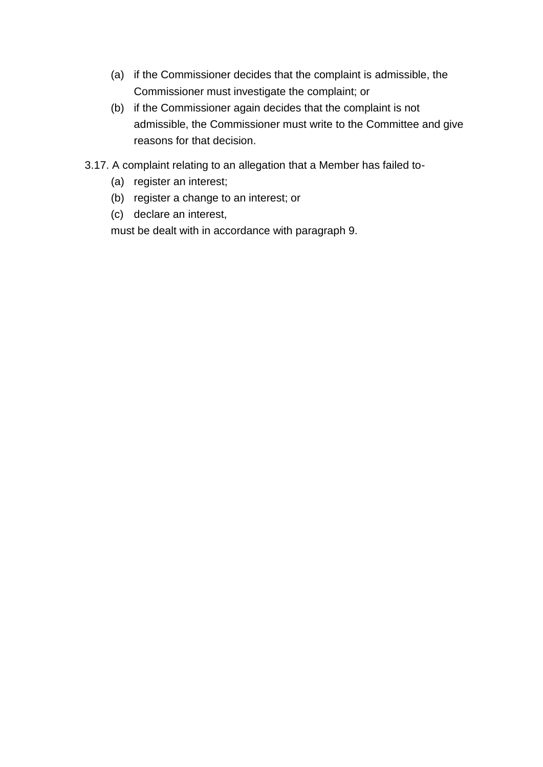- (a) if the Commissioner decides that the complaint is admissible, the Commissioner must investigate the complaint; or
- (b) if the Commissioner again decides that the complaint is not admissible, the Commissioner must write to the Committee and give reasons for that decision.
- 3.17. A complaint relating to an allegation that a Member has failed to-
	- (a) register an interest;
	- (b) register a change to an interest; or
	- (c) declare an interest,

must be dealt with in accordance with paragraph 9.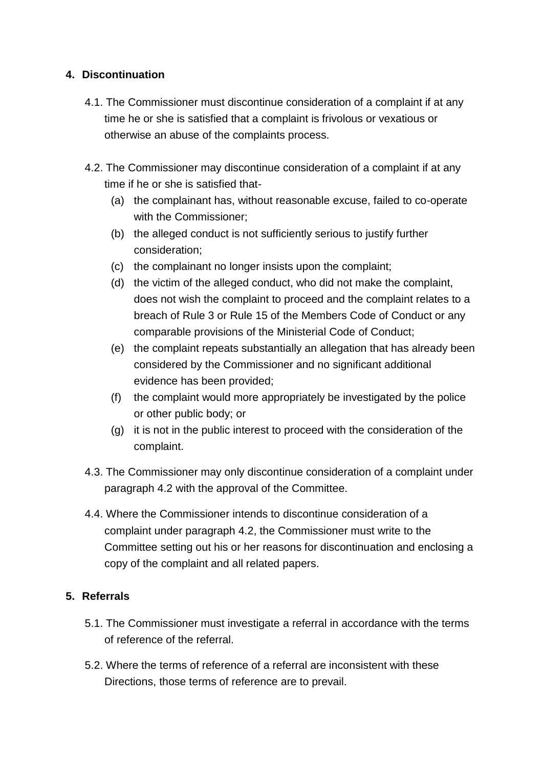### **4. Discontinuation**

- 4.1. The Commissioner must discontinue consideration of a complaint if at any time he or she is satisfied that a complaint is frivolous or vexatious or otherwise an abuse of the complaints process.
- 4.2. The Commissioner may discontinue consideration of a complaint if at any time if he or she is satisfied that-
	- (a) the complainant has, without reasonable excuse, failed to co-operate with the Commissioner;
	- (b) the alleged conduct is not sufficiently serious to justify further consideration;
	- (c) the complainant no longer insists upon the complaint;
	- (d) the victim of the alleged conduct, who did not make the complaint, does not wish the complaint to proceed and the complaint relates to a breach of Rule 3 or Rule 15 of the Members Code of Conduct or any comparable provisions of the Ministerial Code of Conduct;
	- (e) the complaint repeats substantially an allegation that has already been considered by the Commissioner and no significant additional evidence has been provided;
	- (f) the complaint would more appropriately be investigated by the police or other public body; or
	- (g) it is not in the public interest to proceed with the consideration of the complaint.
- 4.3. The Commissioner may only discontinue consideration of a complaint under paragraph 4.2 with the approval of the Committee.
- 4.4. Where the Commissioner intends to discontinue consideration of a complaint under paragraph 4.2, the Commissioner must write to the Committee setting out his or her reasons for discontinuation and enclosing a copy of the complaint and all related papers.

# **5. Referrals**

- 5.1. The Commissioner must investigate a referral in accordance with the terms of reference of the referral.
- 5.2. Where the terms of reference of a referral are inconsistent with these Directions, those terms of reference are to prevail.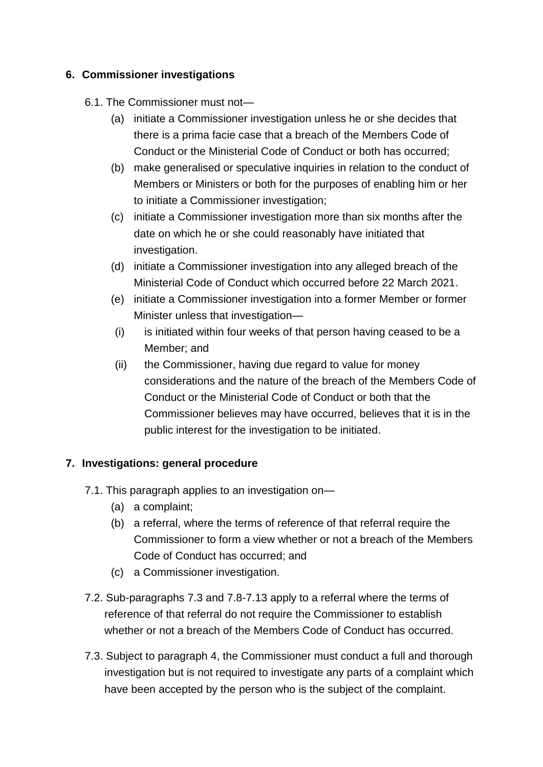## **6. Commissioner investigations**

#### 6.1. The Commissioner must not—

- (a) initiate a Commissioner investigation unless he or she decides that there is a prima facie case that a breach of the Members Code of Conduct or the Ministerial Code of Conduct or both has occurred;
- (b) make generalised or speculative inquiries in relation to the conduct of Members or Ministers or both for the purposes of enabling him or her to initiate a Commissioner investigation;
- (c) initiate a Commissioner investigation more than six months after the date on which he or she could reasonably have initiated that investigation.
- (d) initiate a Commissioner investigation into any alleged breach of the Ministerial Code of Conduct which occurred before 22 March 2021.
- (e) initiate a Commissioner investigation into a former Member or former Minister unless that investigation—
- (i) is initiated within four weeks of that person having ceased to be a Member; and
- (ii) the Commissioner, having due regard to value for money considerations and the nature of the breach of the Members Code of Conduct or the Ministerial Code of Conduct or both that the Commissioner believes may have occurred, believes that it is in the public interest for the investigation to be initiated.

# **7. Investigations: general procedure**

- 7.1. This paragraph applies to an investigation on—
	- (a) a complaint;
	- (b) a referral, where the terms of reference of that referral require the Commissioner to form a view whether or not a breach of the Members Code of Conduct has occurred; and
	- (c) a Commissioner investigation.
- 7.2. Sub-paragraphs 7.3 and 7.8-7.13 apply to a referral where the terms of reference of that referral do not require the Commissioner to establish whether or not a breach of the Members Code of Conduct has occurred.
- 7.3. Subject to paragraph 4, the Commissioner must conduct a full and thorough investigation but is not required to investigate any parts of a complaint which have been accepted by the person who is the subject of the complaint.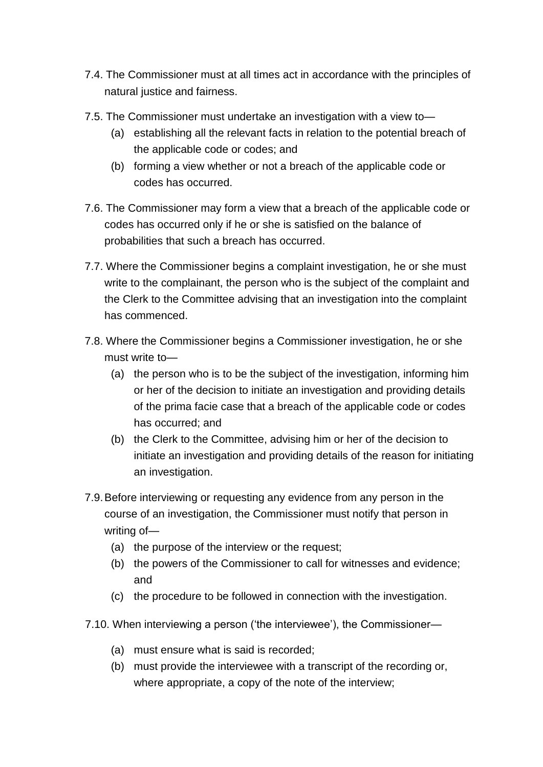- 7.4. The Commissioner must at all times act in accordance with the principles of natural justice and fairness.
- 7.5. The Commissioner must undertake an investigation with a view to—
	- (a) establishing all the relevant facts in relation to the potential breach of the applicable code or codes; and
	- (b) forming a view whether or not a breach of the applicable code or codes has occurred.
- 7.6. The Commissioner may form a view that a breach of the applicable code or codes has occurred only if he or she is satisfied on the balance of probabilities that such a breach has occurred.
- 7.7. Where the Commissioner begins a complaint investigation, he or she must write to the complainant, the person who is the subject of the complaint and the Clerk to the Committee advising that an investigation into the complaint has commenced.
- 7.8. Where the Commissioner begins a Commissioner investigation, he or she must write to—
	- (a) the person who is to be the subject of the investigation, informing him or her of the decision to initiate an investigation and providing details of the prima facie case that a breach of the applicable code or codes has occurred; and
	- (b) the Clerk to the Committee, advising him or her of the decision to initiate an investigation and providing details of the reason for initiating an investigation.
- 7.9.Before interviewing or requesting any evidence from any person in the course of an investigation, the Commissioner must notify that person in writing of—
	- (a) the purpose of the interview or the request;
	- (b) the powers of the Commissioner to call for witnesses and evidence; and
	- (c) the procedure to be followed in connection with the investigation.
- 7.10. When interviewing a person ('the interviewee'), the Commissioner—
	- (a) must ensure what is said is recorded;
	- (b) must provide the interviewee with a transcript of the recording or, where appropriate, a copy of the note of the interview;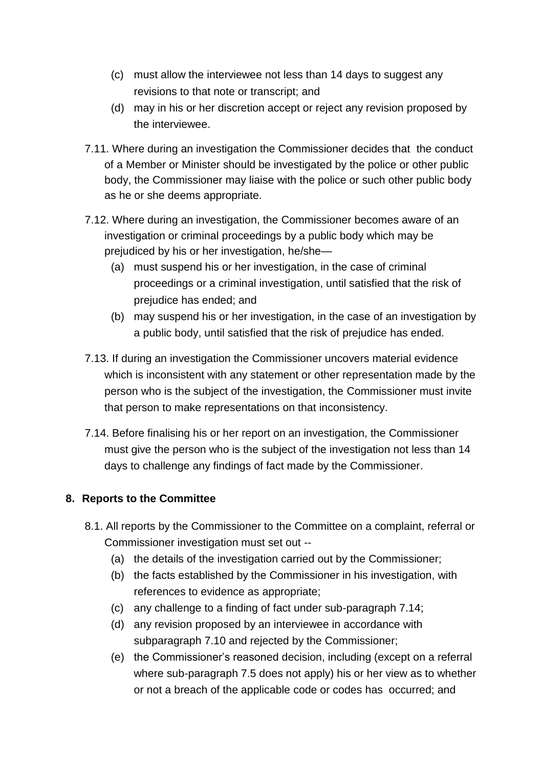- (c) must allow the interviewee not less than 14 days to suggest any revisions to that note or transcript; and
- (d) may in his or her discretion accept or reject any revision proposed by the interviewee.
- 7.11. Where during an investigation the Commissioner decides that the conduct of a Member or Minister should be investigated by the police or other public body, the Commissioner may liaise with the police or such other public body as he or she deems appropriate.
- 7.12. Where during an investigation, the Commissioner becomes aware of an investigation or criminal proceedings by a public body which may be prejudiced by his or her investigation, he/she—
	- (a) must suspend his or her investigation, in the case of criminal proceedings or a criminal investigation, until satisfied that the risk of prejudice has ended; and
	- (b) may suspend his or her investigation, in the case of an investigation by a public body, until satisfied that the risk of prejudice has ended.
- 7.13. If during an investigation the Commissioner uncovers material evidence which is inconsistent with any statement or other representation made by the person who is the subject of the investigation, the Commissioner must invite that person to make representations on that inconsistency.
- 7.14. Before finalising his or her report on an investigation, the Commissioner must give the person who is the subject of the investigation not less than 14 days to challenge any findings of fact made by the Commissioner.

# **8. Reports to the Committee**

- 8.1. All reports by the Commissioner to the Committee on a complaint, referral or Commissioner investigation must set out --
	- (a) the details of the investigation carried out by the Commissioner;
	- (b) the facts established by the Commissioner in his investigation, with references to evidence as appropriate;
	- (c) any challenge to a finding of fact under sub-paragraph 7.14;
	- (d) any revision proposed by an interviewee in accordance with subparagraph 7.10 and rejected by the Commissioner;
	- (e) the Commissioner's reasoned decision, including (except on a referral where sub-paragraph 7.5 does not apply) his or her view as to whether or not a breach of the applicable code or codes has occurred; and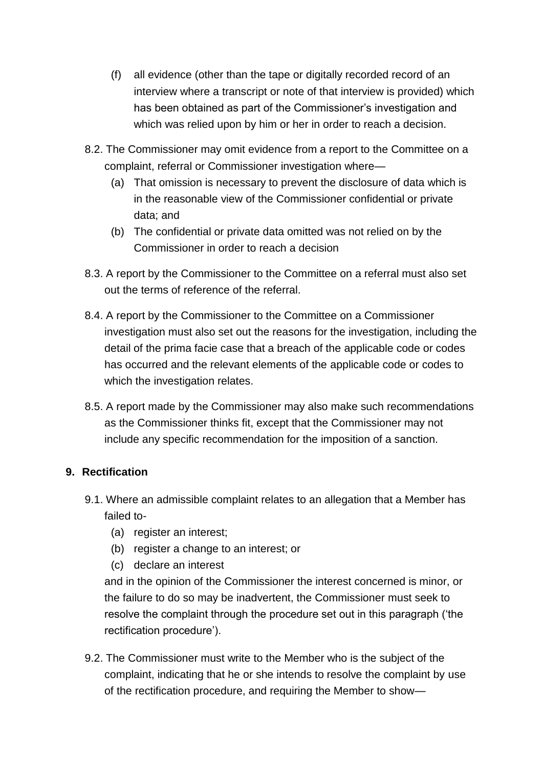- (f) all evidence (other than the tape or digitally recorded record of an interview where a transcript or note of that interview is provided) which has been obtained as part of the Commissioner's investigation and which was relied upon by him or her in order to reach a decision.
- 8.2. The Commissioner may omit evidence from a report to the Committee on a complaint, referral or Commissioner investigation where—
	- (a) That omission is necessary to prevent the disclosure of data which is in the reasonable view of the Commissioner confidential or private data; and
	- (b) The confidential or private data omitted was not relied on by the Commissioner in order to reach a decision
- 8.3. A report by the Commissioner to the Committee on a referral must also set out the terms of reference of the referral.
- 8.4. A report by the Commissioner to the Committee on a Commissioner investigation must also set out the reasons for the investigation, including the detail of the prima facie case that a breach of the applicable code or codes has occurred and the relevant elements of the applicable code or codes to which the investigation relates.
- 8.5. A report made by the Commissioner may also make such recommendations as the Commissioner thinks fit, except that the Commissioner may not include any specific recommendation for the imposition of a sanction.

# **9. Rectification**

- 9.1. Where an admissible complaint relates to an allegation that a Member has failed to-
	- (a) register an interest;
	- (b) register a change to an interest; or
	- (c) declare an interest

and in the opinion of the Commissioner the interest concerned is minor, or the failure to do so may be inadvertent, the Commissioner must seek to resolve the complaint through the procedure set out in this paragraph ('the rectification procedure').

9.2. The Commissioner must write to the Member who is the subject of the complaint, indicating that he or she intends to resolve the complaint by use of the rectification procedure, and requiring the Member to show—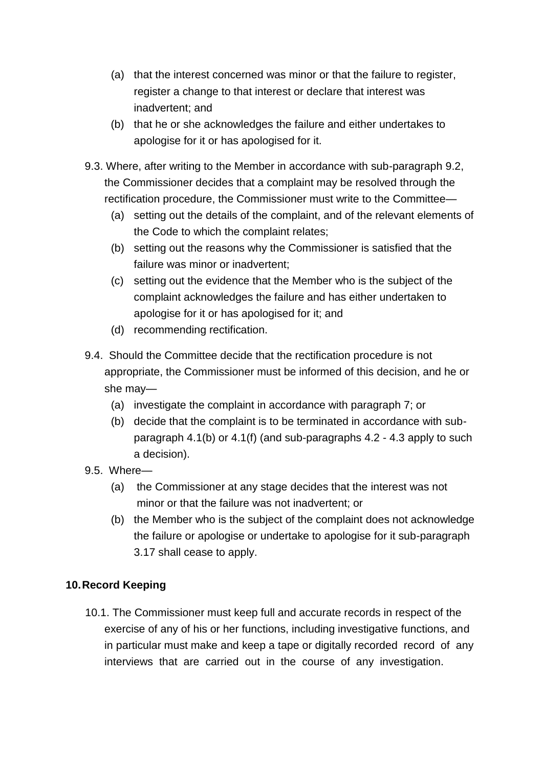- (a) that the interest concerned was minor or that the failure to register, register a change to that interest or declare that interest was inadvertent; and
- (b) that he or she acknowledges the failure and either undertakes to apologise for it or has apologised for it.
- 9.3. Where, after writing to the Member in accordance with sub-paragraph 9.2, the Commissioner decides that a complaint may be resolved through the rectification procedure, the Commissioner must write to the Committee—
	- (a) setting out the details of the complaint, and of the relevant elements of the Code to which the complaint relates;
	- (b) setting out the reasons why the Commissioner is satisfied that the failure was minor or inadvertent;
	- (c) setting out the evidence that the Member who is the subject of the complaint acknowledges the failure and has either undertaken to apologise for it or has apologised for it; and
	- (d) recommending rectification.
- 9.4. Should the Committee decide that the rectification procedure is not appropriate, the Commissioner must be informed of this decision, and he or she may—
	- (a) investigate the complaint in accordance with paragraph 7; or
	- (b) decide that the complaint is to be terminated in accordance with subparagraph 4.1(b) or 4.1(f) (and sub-paragraphs 4.2 - 4.3 apply to such a decision).
- 9.5. Where—
	- (a) the Commissioner at any stage decides that the interest was not minor or that the failure was not inadvertent; or
	- (b) the Member who is the subject of the complaint does not acknowledge the failure or apologise or undertake to apologise for it sub-paragraph 3.17 shall cease to apply.

# **10. Record Keeping**

10.1. The Commissioner must keep full and accurate records in respect of the exercise of any of his or her functions, including investigative functions, and in particular must make and keep a tape or digitally recorded record of any interviews that are carried out in the course of any investigation.